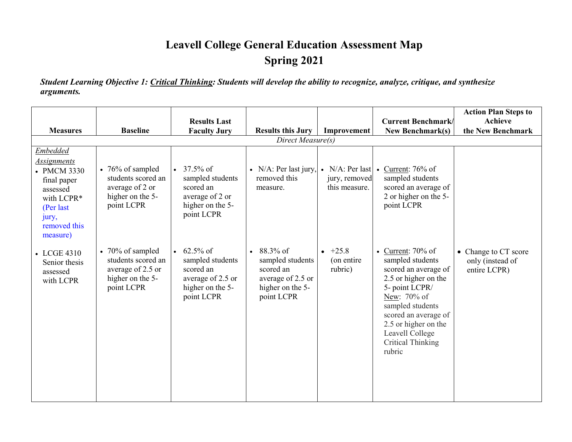## **Leavell College General Education Assessment Map Spring 2021**

*Student Learning Objective 1: Critical Thinking: Students will develop the ability to recognize, analyze, critique, and synthesize arguments.*

|                                                                                                                                           |                                                                                                       |                                                                                                     |                                                                                                               |                                   |                                                                                                                                                                                                                                                 | <b>Action Plan Steps to</b>                              |
|-------------------------------------------------------------------------------------------------------------------------------------------|-------------------------------------------------------------------------------------------------------|-----------------------------------------------------------------------------------------------------|---------------------------------------------------------------------------------------------------------------|-----------------------------------|-------------------------------------------------------------------------------------------------------------------------------------------------------------------------------------------------------------------------------------------------|----------------------------------------------------------|
|                                                                                                                                           |                                                                                                       | <b>Results Last</b>                                                                                 |                                                                                                               |                                   | <b>Current Benchmark/</b>                                                                                                                                                                                                                       | <b>Achieve</b>                                           |
| <b>Measures</b>                                                                                                                           | <b>Baseline</b>                                                                                       | <b>Faculty Jury</b>                                                                                 | <b>Results this Jury</b>                                                                                      | Improvement                       | <b>New Benchmark(s)</b>                                                                                                                                                                                                                         | the New Benchmark                                        |
|                                                                                                                                           |                                                                                                       |                                                                                                     |                                                                                                               |                                   |                                                                                                                                                                                                                                                 |                                                          |
| Embedded<br><b>Assignments</b><br>• PMCM 3330<br>final paper<br>assessed<br>with LCPR*<br>(Per last)<br>jury,<br>removed this<br>measure) | $\bullet$ 76% of sampled<br>students scored an<br>average of 2 or<br>higher on the 5-<br>point LCPR   | $37.5\%$ of<br>sampled students<br>scored an<br>average of 2 or<br>higher on the 5-<br>point LCPR   | • $N/A$ : Per last jury,<br>removed this<br>measure.                                                          | jury, removed<br>this measure.    | • N/A: Per last $\bullet$ Current: 76% of<br>sampled students<br>scored an average of<br>2 or higher on the 5-<br>point LCPR                                                                                                                    |                                                          |
| • LCGE 4310<br>Senior thesis<br>assessed<br>with LCPR                                                                                     | $\bullet$ 70% of sampled<br>students scored an<br>average of 2.5 or<br>higher on the 5-<br>point LCPR | $62.5\%$ of<br>sampled students<br>scored an<br>average of 2.5 or<br>higher on the 5-<br>point LCPR | 88.3% of<br>$\bullet$<br>sampled students<br>scored an<br>average of 2.5 or<br>higher on the 5-<br>point LCPR | $+25.8$<br>(on entire)<br>rubric) | • Current: $70\%$ of<br>sampled students<br>scored an average of<br>2.5 or higher on the<br>5- point LCPR/<br>New: 70% of<br>sampled students<br>scored an average of<br>2.5 or higher on the<br>Leavell College<br>Critical Thinking<br>rubric | • Change to CT score<br>only (instead of<br>entire LCPR) |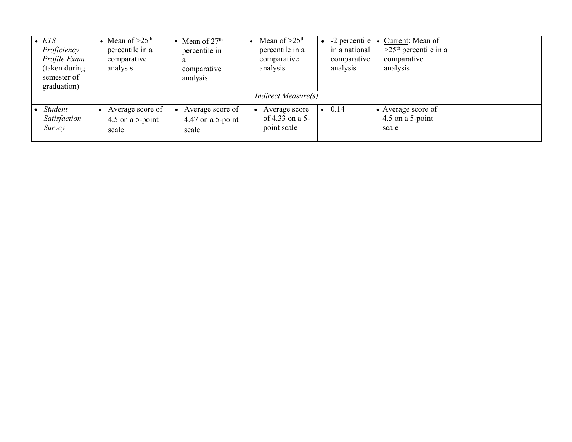| $\bullet$ ETS<br>Proficiency<br>Profile Exam<br>(taken during<br>semester of<br>graduation) | Mean of $>25th$<br>percentile in a<br>comparative<br>analysis | Mean of $27th$<br>percentile in<br>a<br>comparative<br>analysis | Mean of $>25th$<br>percentile in a<br>comparative<br>analysis | $-2$ percentile<br>in a national<br>comparative<br>analysis | Current: Mean of<br>$>25th$ percentile in a<br>comparative<br>analysis |  |
|---------------------------------------------------------------------------------------------|---------------------------------------------------------------|-----------------------------------------------------------------|---------------------------------------------------------------|-------------------------------------------------------------|------------------------------------------------------------------------|--|
|                                                                                             |                                                               |                                                                 | <i>Indirect Measure(s)</i>                                    |                                                             |                                                                        |  |
| $\bullet$ Student<br>Satisfaction<br>Survey                                                 | Average score of<br>4.5 on a 5-point<br>scale                 | Average score of<br>$\bullet$<br>4.47 on a 5-point<br>scale     | Average score<br>of 4.33 on a 5-<br>point scale               | 0.14                                                        | • Average score of<br>4.5 on a 5-point<br>scale                        |  |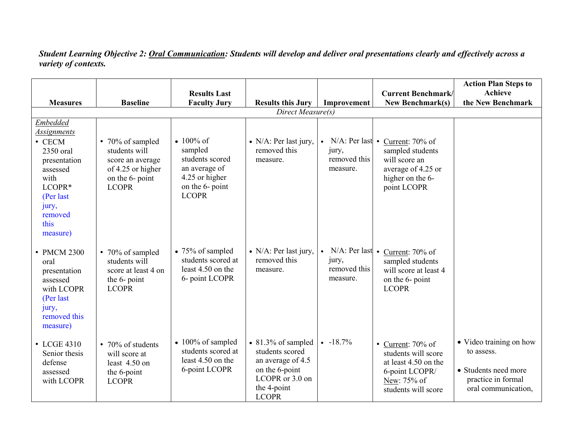*Student Learning Objective 2: Oral Communication: Students will develop and deliver oral presentations clearly and effectively across a variety of contexts.*

|                     |                                      |                                  |                            |                       |                                        | <b>Action Plan Steps to</b> |  |
|---------------------|--------------------------------------|----------------------------------|----------------------------|-----------------------|----------------------------------------|-----------------------------|--|
|                     |                                      | <b>Results Last</b>              |                            |                       | <b>Current Benchmark/</b>              | <b>Achieve</b>              |  |
| <b>Measures</b>     | <b>Baseline</b>                      | <b>Faculty Jury</b>              | <b>Results this Jury</b>   | Improvement           | <b>New Benchmark(s)</b>                | the New Benchmark           |  |
| Direct Measure(s)   |                                      |                                  |                            |                       |                                        |                             |  |
| <b>Embedded</b>     |                                      |                                  |                            |                       |                                        |                             |  |
| <u>Assignments</u>  |                                      |                                  |                            |                       |                                        |                             |  |
| $\bullet$ CECM      | • 70% of sampled                     | • $100\%$ of                     | • N/A: Per last jury,      | $N/A$ : Per last •    | Current: 70% of                        |                             |  |
| 2350 oral           | students will                        | sampled                          | removed this               | jury,<br>removed this | sampled students                       |                             |  |
| presentation        | score an average                     | students scored<br>an average of | measure.                   | measure.              | will score an                          |                             |  |
| assessed<br>with    | of 4.25 or higher<br>on the 6- point | 4.25 or higher                   |                            |                       | average of 4.25 or<br>higher on the 6- |                             |  |
| LCOPR*              | <b>LCOPR</b>                         | on the 6- point                  |                            |                       | point LCOPR                            |                             |  |
| (Per last           |                                      | <b>LCOPR</b>                     |                            |                       |                                        |                             |  |
| jury,               |                                      |                                  |                            |                       |                                        |                             |  |
| removed             |                                      |                                  |                            |                       |                                        |                             |  |
| this                |                                      |                                  |                            |                       |                                        |                             |  |
| measure)            |                                      |                                  |                            |                       |                                        |                             |  |
|                     |                                      | $\bullet$ 75% of sampled         | • N/A: Per last jury,      | N/A: Per last .       |                                        |                             |  |
| • PMCM 2300<br>oral | • 70% of sampled<br>students will    | students scored at               | removed this               | jury,                 | Current: 70% of<br>sampled students    |                             |  |
| presentation        | score at least 4 on                  | least 4.50 on the                | measure.                   | removed this          | will score at least 4                  |                             |  |
| assessed            | the 6- point                         | 6- point LCOPR                   |                            | measure.              | on the 6- point                        |                             |  |
| with LCOPR          | <b>LCOPR</b>                         |                                  |                            |                       | <b>LCOPR</b>                           |                             |  |
| (Per last           |                                      |                                  |                            |                       |                                        |                             |  |
| jury,               |                                      |                                  |                            |                       |                                        |                             |  |
| removed this        |                                      |                                  |                            |                       |                                        |                             |  |
| measure)            |                                      |                                  |                            |                       |                                        |                             |  |
| • LCGE 4310         | • 70% of students                    | $\bullet$ 100% of sampled        | $\bullet$ 81.3% of sampled | $-18.7%$              | • Current: $70\%$ of                   | • Video training on how     |  |
| Senior thesis       | will score at                        | students scored at               | students scored            |                       | students will score                    | to assess.                  |  |
| defense             | least 4.50 on                        | least 4.50 on the                | an average of 4.5          |                       | at least 4.50 on the                   |                             |  |
| assessed            | the 6-point                          | 6-point LCOPR                    | on the 6-point             |                       | 6-point LCOPR/                         | • Students need more        |  |
| with LCOPR          | <b>LCOPR</b>                         |                                  | LCOPR or 3.0 on            |                       | New: 75% of                            | practice in formal          |  |
|                     |                                      |                                  | the 4-point                |                       | students will score                    | oral communication,         |  |
|                     |                                      |                                  | <b>LCOPR</b>               |                       |                                        |                             |  |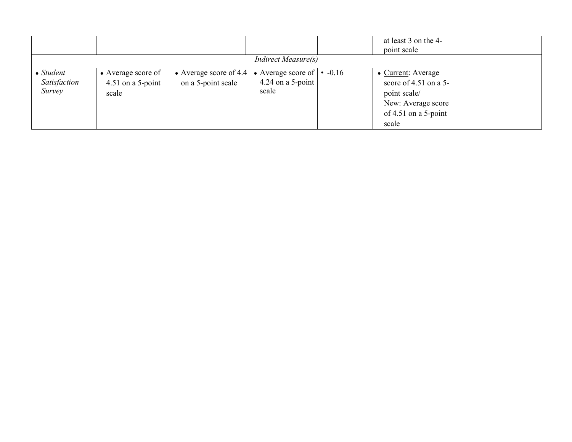|                                             |                                                    |                                              |                                                                | at least 3 on the 4-<br>point scale                                                                                  |  |
|---------------------------------------------|----------------------------------------------------|----------------------------------------------|----------------------------------------------------------------|----------------------------------------------------------------------------------------------------------------------|--|
|                                             |                                                    |                                              | <b>Indirect Measure(s)</b>                                     |                                                                                                                      |  |
| $\bullet$ Student<br>Satisfaction<br>Survey | • Average score of<br>$4.51$ on a 5-point<br>scale | • Average score of 4.4<br>on a 5-point scale | • Average score of $\cdot$ -0.16<br>4.24 on a 5-point<br>scale | • Current: Average<br>score of $4.51$ on a 5-<br>point scale/<br>New: Average score<br>of 4.51 on a 5-point<br>scale |  |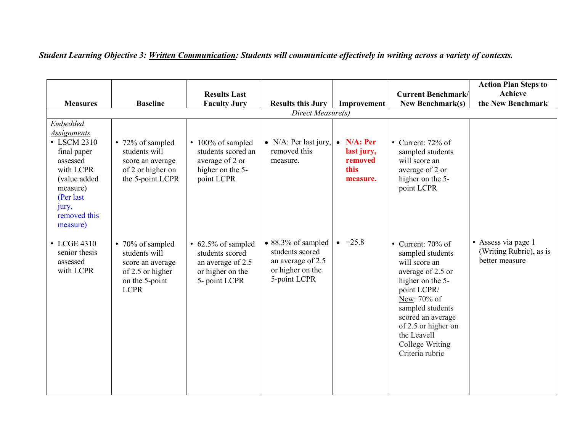| <b>Measures</b>                                                                                                                                                            | <b>Baseline</b>                                                                                            | <b>Results Last</b><br><b>Faculty Jury</b>                                                            | <b>Results this Jury</b>                                                                               | Improvement                                                     | <b>Current Benchmark/</b><br><b>New Benchmark(s)</b>                                                                                                                                                                                                  | <b>Action Plan Steps to</b><br><b>Achieve</b><br>the New Benchmark |
|----------------------------------------------------------------------------------------------------------------------------------------------------------------------------|------------------------------------------------------------------------------------------------------------|-------------------------------------------------------------------------------------------------------|--------------------------------------------------------------------------------------------------------|-----------------------------------------------------------------|-------------------------------------------------------------------------------------------------------------------------------------------------------------------------------------------------------------------------------------------------------|--------------------------------------------------------------------|
|                                                                                                                                                                            |                                                                                                            |                                                                                                       | Direct Measure(s)                                                                                      |                                                                 |                                                                                                                                                                                                                                                       |                                                                    |
| <b>Embedded</b><br><i>Assignments</i><br>• LSCM 2310<br>final paper<br>assessed<br>with LCPR<br>(value added<br>measure)<br>(Per last<br>jury,<br>removed this<br>measure) | • 72% of sampled<br>students will<br>score an average<br>of 2 or higher on<br>the 5-point LCPR             | • 100% of sampled<br>students scored an<br>average of 2 or<br>higher on the 5-<br>point LCPR          | • $N/A$ : Per last jury,<br>removed this<br>measure.                                                   | $\bullet$ N/A: Per<br>last jury,<br>removed<br>this<br>measure. | • Current: $72\%$ of<br>sampled students<br>will score an<br>average of 2 or<br>higher on the 5-<br>point LCPR                                                                                                                                        |                                                                    |
| • LCGE 4310<br>senior thesis<br>assessed<br>with LCPR                                                                                                                      | • 70% of sampled<br>students will<br>score an average<br>of 2.5 or higher<br>on the 5-point<br><b>LCPR</b> | $\cdot$ 62.5% of sampled<br>students scored<br>an average of 2.5<br>or higher on the<br>5- point LCPR | $\bullet$ 88.3% of sampled<br>students scored<br>an average of 2.5<br>or higher on the<br>5-point LCPR | $+25.8$                                                         | • Current: $70\%$ of<br>sampled students<br>will score an<br>average of 2.5 or<br>higher on the 5-<br>point LCPR/<br>New: 70% of<br>sampled students<br>scored an average<br>of 2.5 or higher on<br>the Leavell<br>College Writing<br>Criteria rubric | • Assess via page 1<br>(Writing Rubric), as is<br>better measure   |

*Student Learning Objective 3: Written Communication: Students will communicate effectively in writing across a variety of contexts.*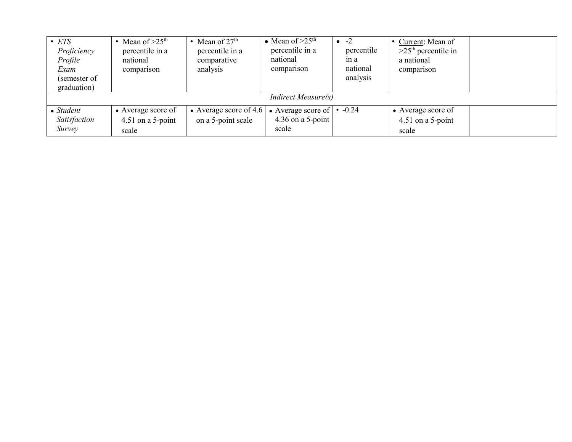| $\bullet$ ETS<br>Proficiency<br>Profile<br>Exam<br>(semester of<br>graduation) | • Mean of $>25th$<br>percentile in a<br>national<br>comparison | • Mean of $27th$<br>percentile in a<br>comparative<br>analysis | • Mean of $>25th$<br>percentile in a<br>national<br>comparison | $-2$<br>percentile<br>in a<br>national<br>analysis | • Current: Mean of<br>$>25th$ percentile in<br>a national<br>comparison |  |  |  |
|--------------------------------------------------------------------------------|----------------------------------------------------------------|----------------------------------------------------------------|----------------------------------------------------------------|----------------------------------------------------|-------------------------------------------------------------------------|--|--|--|
| <b>Indirect Measure(s)</b>                                                     |                                                                |                                                                |                                                                |                                                    |                                                                         |  |  |  |
| $\bullet$ Student<br>Satisfaction<br>Survey                                    | • Average score of<br>$4.51$ on a 5-point<br>scale             | • Average score of 4.6<br>on a 5-point scale                   | • Average score of $\cdot$ -0.24<br>4.36 on a 5-point<br>scale |                                                    | • Average score of<br>4.51 on a 5-point<br>scale                        |  |  |  |